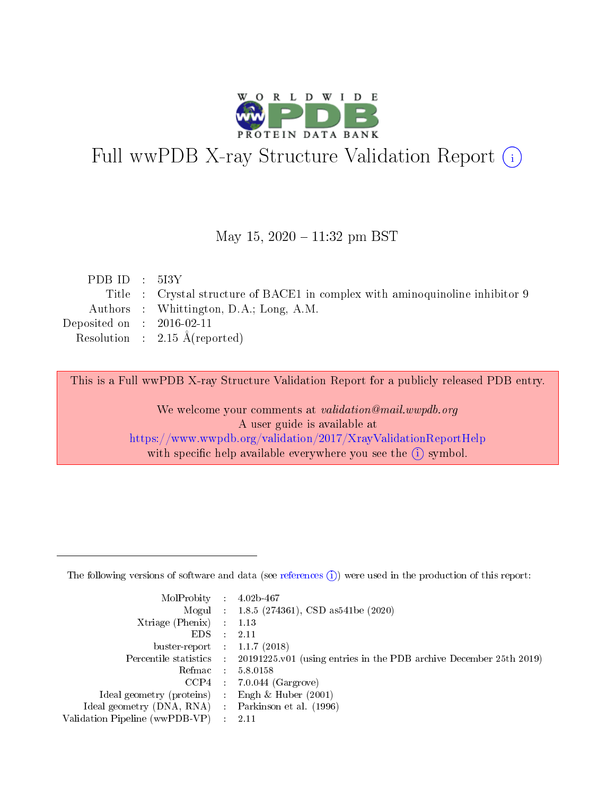

# Full wwPDB X-ray Structure Validation Report (i)

#### May 15,  $2020 - 11:32$  pm BST

| PDBID : 5I3Y                |                                                                               |
|-----------------------------|-------------------------------------------------------------------------------|
|                             | Title : Crystal structure of BACE1 in complex with aminoquinoline inhibitor 9 |
|                             | Authors : Whittington, D.A.; Long, A.M.                                       |
| Deposited on : $2016-02-11$ |                                                                               |
|                             | Resolution : $2.15 \text{ Å}$ (reported)                                      |
|                             |                                                                               |

This is a Full wwPDB X-ray Structure Validation Report for a publicly released PDB entry.

We welcome your comments at validation@mail.wwpdb.org A user guide is available at <https://www.wwpdb.org/validation/2017/XrayValidationReportHelp> with specific help available everywhere you see the  $(i)$  symbol.

The following versions of software and data (see [references](https://www.wwpdb.org/validation/2017/XrayValidationReportHelp#references)  $(1)$ ) were used in the production of this report:

| MolProbity :                   |               | $4.02b - 467$                                                                |
|--------------------------------|---------------|------------------------------------------------------------------------------|
|                                |               | Mogul : 1.8.5 (274361), CSD as 541be (2020)                                  |
| $X$ triage (Phenix) :          |               | 1.13                                                                         |
| EDS.                           |               | 2.11                                                                         |
| buster-report : $1.1.7$ (2018) |               |                                                                              |
| Percentile statistics :        |               | $20191225 \text{ v}01$ (using entries in the PDB archive December 25th 2019) |
| Refmac :                       |               | 5.8.0158                                                                     |
| $CCP4$ :                       |               | $7.0.044$ (Gargrove)                                                         |
| Ideal geometry (proteins) :    |               | Engh $\&$ Huber (2001)                                                       |
| Ideal geometry (DNA, RNA) :    |               | Parkinson et al. (1996)                                                      |
| Validation Pipeline (wwPDB-VP) | $\mathcal{L}$ | 2.11                                                                         |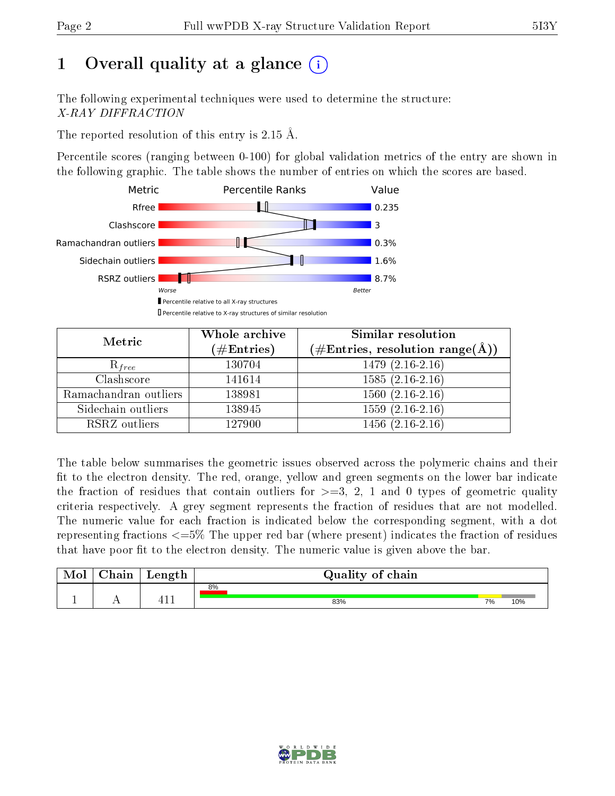# 1 [O](https://www.wwpdb.org/validation/2017/XrayValidationReportHelp#overall_quality)verall quality at a glance  $(i)$

The following experimental techniques were used to determine the structure: X-RAY DIFFRACTION

The reported resolution of this entry is 2.15 Å.

Percentile scores (ranging between 0-100) for global validation metrics of the entry are shown in the following graphic. The table shows the number of entries on which the scores are based.



| Metric                | Whole archive<br>$(\#\mathrm{Entries})$ | Similar resolution<br>$(\#\text{Entries},\, \text{resolution}\; \text{range}(\textup{\AA}))$ |  |  |
|-----------------------|-----------------------------------------|----------------------------------------------------------------------------------------------|--|--|
| $R_{free}$            | 130704                                  | $1479(2.16-2.16)$                                                                            |  |  |
| Clashscore            | 141614                                  | $1585(2.16-2.16)$                                                                            |  |  |
| Ramachandran outliers | 138981                                  | $1560(2.16-2.16)$                                                                            |  |  |
| Sidechain outliers    | 138945                                  | $1559(2.16-2.16)$                                                                            |  |  |
| RSRZ outliers         | 127900                                  | $1456(2.16-2.16)$                                                                            |  |  |

The table below summarises the geometric issues observed across the polymeric chains and their fit to the electron density. The red, orange, yellow and green segments on the lower bar indicate the fraction of residues that contain outliers for  $>=3, 2, 1$  and 0 types of geometric quality criteria respectively. A grey segment represents the fraction of residues that are not modelled. The numeric value for each fraction is indicated below the corresponding segment, with a dot representing fractions <=5% The upper red bar (where present) indicates the fraction of residues that have poor fit to the electron density. The numeric value is given above the bar.

| Mol | $\cap$ hain | Length | Quality of chain |    |     |
|-----|-------------|--------|------------------|----|-----|
|     |             |        | 8%               |    |     |
|     |             | -1 -   | 83%              | 7% | 10% |

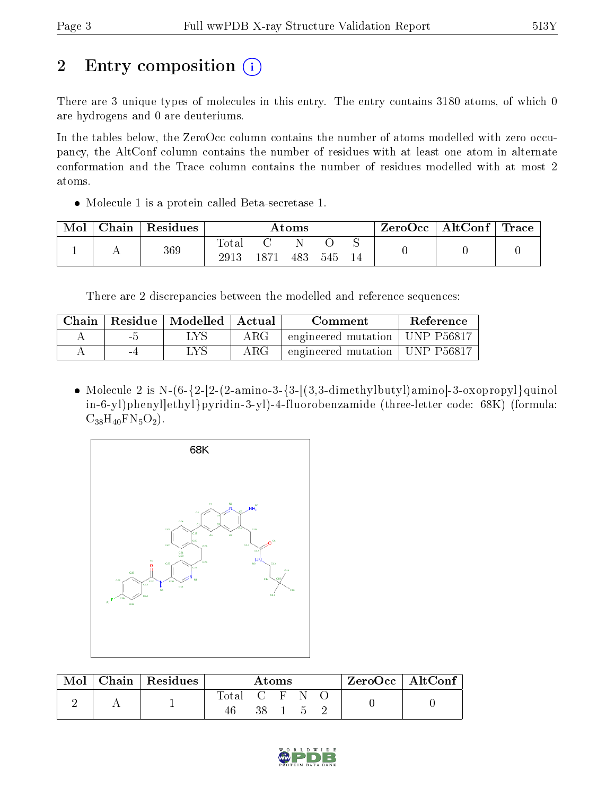# 2 Entry composition (i)

There are 3 unique types of molecules in this entry. The entry contains 3180 atoms, of which 0 are hydrogens and 0 are deuteriums.

In the tables below, the ZeroOcc column contains the number of atoms modelled with zero occupancy, the AltConf column contains the number of residues with at least one atom in alternate conformation and the Trace column contains the number of residues modelled with at most 2 atoms.

Molecule 1 is a protein called Beta-secretase 1.

| Mol | Chain | $\vert$ Residues | $\rm{Atoms}$        |      |     |     | $\text{ZeroOcc} \mid \text{AltConf} \mid$ | $\mid$ Trace $\mid$ |  |
|-----|-------|------------------|---------------------|------|-----|-----|-------------------------------------------|---------------------|--|
|     |       | 369              | $\rm Total$<br>2913 | 1871 | 483 | 545 |                                           |                     |  |

There are 2 discrepancies between the modelled and reference sequences:

| Chain |     | Residue   Modelled   Actual |            | Comment                          | Reference |
|-------|-----|-----------------------------|------------|----------------------------------|-----------|
|       | - ภ |                             | $\rm{ARG}$ | engineered mutation   UNP P56817 |           |
|       | -4  | LVS                         | $\rm{ARG}$ | engineered mutation   UNP P56817 |           |

• Molecule 2 is N- $(6-\{2-[2-(2-amin-3-\{3-[(3,3-dimethylbutyl)amino]-3-oxopropyl\}quino])\}$ in-6-yl)phenyl]ethyl}pyridin-3-yl)-4-fluorobenzamide (three-letter code: 68K) (formula:  $C_{38}H_{40}FN_5O_2$ .



| Mol |  | Chain   Residues | Atoms |  |  | $ZeroOcc$   Alt $Conf$ |  |
|-----|--|------------------|-------|--|--|------------------------|--|
|     |  |                  | Total |  |  |                        |  |
|     |  |                  |       |  |  |                        |  |

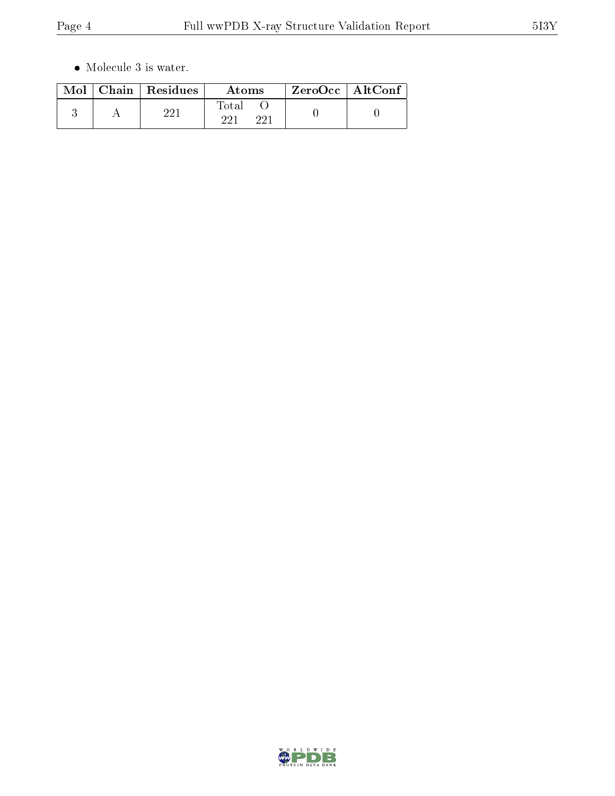$\bullet\,$  Molecule 3 is water.

|  | $Mol$   Chain   Residues | Atoms               | $ZeroOcc \mid AltConf \mid$ |
|--|--------------------------|---------------------|-----------------------------|
|  | ດດ1                      | Total<br>ດດ1<br>າາ1 |                             |

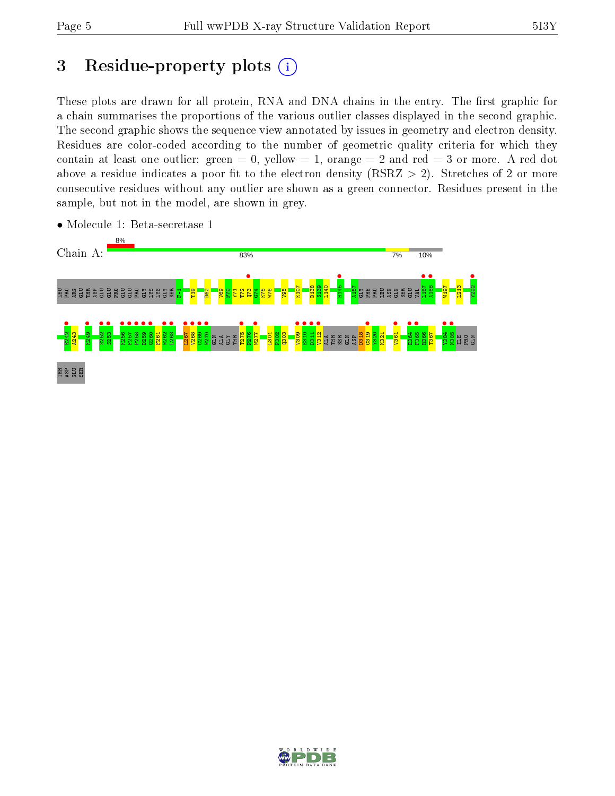# 3 Residue-property plots  $(i)$

These plots are drawn for all protein, RNA and DNA chains in the entry. The first graphic for a chain summarises the proportions of the various outlier classes displayed in the second graphic. The second graphic shows the sequence view annotated by issues in geometry and electron density. Residues are color-coded according to the number of geometric quality criteria for which they contain at least one outlier: green  $= 0$ , yellow  $= 1$ , orange  $= 2$  and red  $= 3$  or more. A red dot above a residue indicates a poor fit to the electron density (RSRZ  $> 2$ ). Stretches of 2 or more consecutive residues without any outlier are shown as a green connector. Residues present in the sample, but not in the model, are shown in grey.



• Molecule 1: Beta-secretase 1

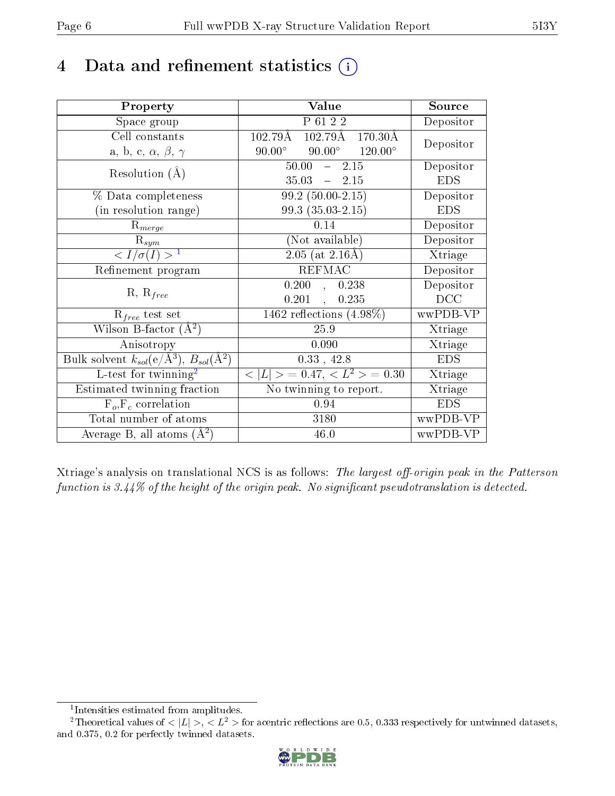# 4 Data and refinement statistics  $(i)$

| Property                                                             | Value                                               | Source     |
|----------------------------------------------------------------------|-----------------------------------------------------|------------|
| Space group                                                          | P 61 2 2                                            | Depositor  |
| Cell constants                                                       | $102.79\text{\AA}$<br>$170.30\text{\AA}$<br>102.79Å |            |
| a, b, c, $\alpha$ , $\beta$ , $\gamma$                               | $90.00^{\circ}$ $120.00^{\circ}$<br>$90.00^\circ$   | Depositor  |
| Resolution $(A)$                                                     | $50.00 - 2.15$                                      | Depositor  |
|                                                                      | $35.03 - 2.15$                                      | <b>EDS</b> |
| % Data completeness                                                  | $99.2(50.00-2.15)$                                  | Depositor  |
| (in resolution range)                                                | $99.3(35.03-2.15)$                                  | <b>EDS</b> |
| $R_{merge}$                                                          | 0.14                                                | Depositor  |
| $\mathbf{R}_{sym}$                                                   | (Not available)                                     | Depositor  |
| $\langle I/\sigma(I) \rangle^{-1}$                                   | $\sqrt{2.05 \text{ (at } 2.16 \text{\AA})}$         | Xtriage    |
| Refinement program                                                   | <b>REFMAC</b>                                       | Depositor  |
| $R, R_{free}$                                                        | 0.200,<br>0.238                                     | Depositor  |
|                                                                      | $0.201$ ,<br>0.235                                  | DCC        |
| $R_{free}$ test set                                                  | 1462 reflections $(4.98\%)$                         | wwPDB-VP   |
| Wilson B-factor $(A^2)$                                              | 25.9                                                | Xtriage    |
| Anisotropy                                                           | 0.090                                               | Xtriage    |
| Bulk solvent $k_{sol}(e/\mathring{A}^3)$ , $B_{sol}(\mathring{A}^2)$ | $0.33$ , 42.8                                       | <b>EDS</b> |
| L-test for twinning <sup>2</sup>                                     | $< L >$ = 0.47, $< L^2 >$ = 0.30                    | Xtriage    |
| Estimated twinning fraction                                          | No twinning to report.                              | Xtriage    |
| $F_o, F_c$ correlation                                               | 0.94                                                | <b>EDS</b> |
| Total number of atoms                                                | 3180                                                | wwPDB-VP   |
| Average B, all atoms $(A^2)$                                         | 46.0                                                | wwPDB-VP   |

Xtriage's analysis on translational NCS is as follows: The largest off-origin peak in the Patterson function is  $3.44\%$  of the height of the origin peak. No significant pseudotranslation is detected.

<sup>&</sup>lt;sup>2</sup>Theoretical values of  $\langle |L| \rangle$ ,  $\langle L^2 \rangle$  for acentric reflections are 0.5, 0.333 respectively for untwinned datasets, and 0.375, 0.2 for perfectly twinned datasets.



<span id="page-5-1"></span><span id="page-5-0"></span><sup>1</sup> Intensities estimated from amplitudes.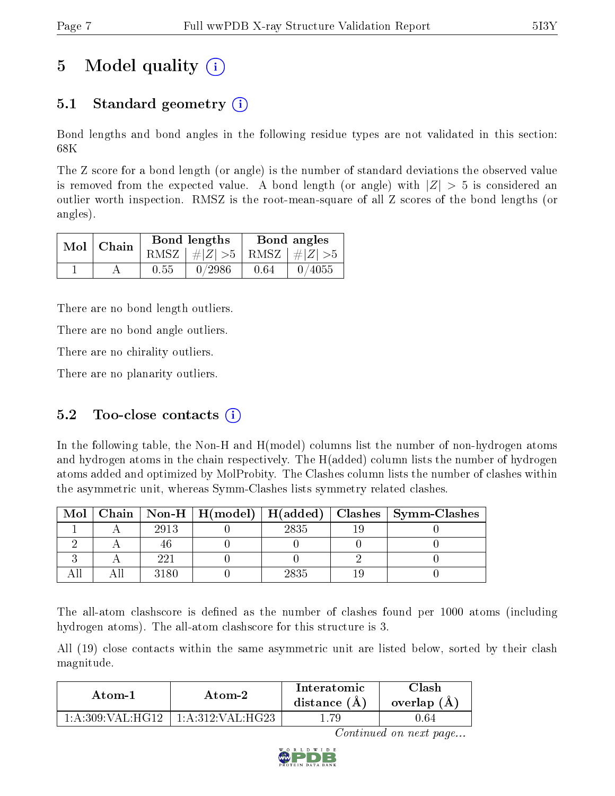# 5 Model quality  $(i)$

### 5.1 Standard geometry  $\overline{()}$

Bond lengths and bond angles in the following residue types are not validated in this section: 68K

The Z score for a bond length (or angle) is the number of standard deviations the observed value is removed from the expected value. A bond length (or angle) with  $|Z| > 5$  is considered an outlier worth inspection. RMSZ is the root-mean-square of all Z scores of the bond lengths (or angles).

|  | $Mol$   Chain |      | Bond lengths                    | Bond angles |        |  |
|--|---------------|------|---------------------------------|-------------|--------|--|
|  |               |      | RMSZ $ #Z  > 5$ RMSZ $ #Z  > 5$ |             |        |  |
|  |               | 0.55 | 0/2986                          | 0.64        | 0/4055 |  |

There are no bond length outliers.

There are no bond angle outliers.

There are no chirality outliers.

There are no planarity outliers.

### 5.2 Too-close contacts  $(i)$

In the following table, the Non-H and H(model) columns list the number of non-hydrogen atoms and hydrogen atoms in the chain respectively. The H(added) column lists the number of hydrogen atoms added and optimized by MolProbity. The Clashes column lists the number of clashes within the asymmetric unit, whereas Symm-Clashes lists symmetry related clashes.

| Mol |      |      | Chain   Non-H   H(model)   H(added)   Clashes   Symm-Clashes |
|-----|------|------|--------------------------------------------------------------|
|     | 2913 | 2835 |                                                              |
|     |      |      |                                                              |
|     | 991  |      |                                                              |
|     | 3180 | 2835 |                                                              |

The all-atom clashscore is defined as the number of clashes found per 1000 atoms (including hydrogen atoms). The all-atom clashscore for this structure is 3.

All (19) close contacts within the same asymmetric unit are listed below, sorted by their clash magnitude.

| Atom-1 | Atom-2                                 | Interatomic<br>distance $(A)$ | $\cap$ lash<br>overlap $(A)$ |  |
|--------|----------------------------------------|-------------------------------|------------------------------|--|
|        | $1:$ A:309:VAL:HG12   1:A:312:VAL:HG23 |                               | 0.64                         |  |

Continued on next page...

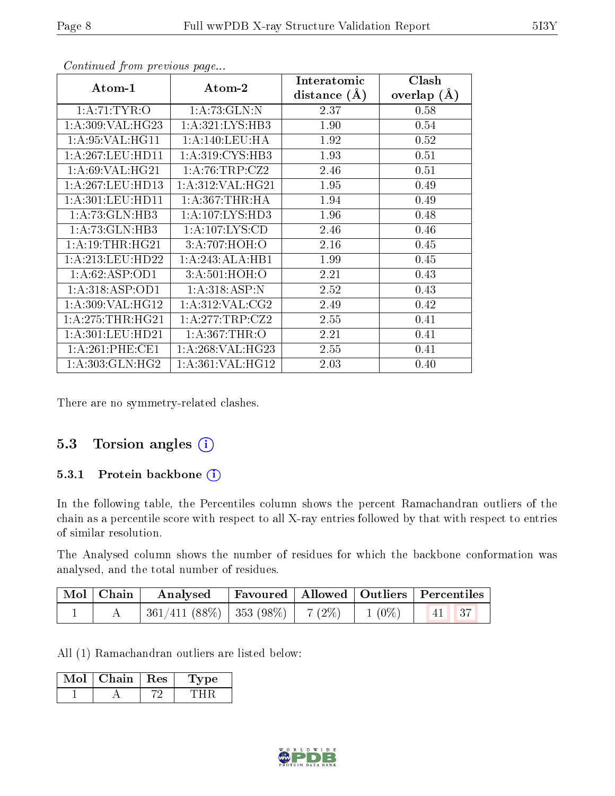| Atom-1              | Atom-2              | Interatomic<br>distance $(\AA)$ | Clash<br>overlap $(A)$ |
|---------------------|---------------------|---------------------------------|------------------------|
| 1:A:71:TYR:O        | 1: A:73: GLN:N      | 2.37                            | 0.58                   |
| 1: A:309: VAL: HG23 | 1: A:321:LYS:HB3    | 1.90                            | 0.54                   |
| 1: A:95: VAL:HG11   | 1: A:140:LEU:HA     | 1.92                            | 0.52                   |
| 1: A:267:LEU:HD11   | 1: A:319: CYS:HB3   | 1.93                            | 0.51                   |
| 1: A:69: VAL:HG21   | 1:A:76:TRP:CZ2      | 2.46                            | 0.51                   |
| 1: A:267:LEU:HD13   | 1: A:312: VAL:HG21  | 1.95                            | 0.49                   |
| 1: A:301:LEU:HD11   | 1: A: 367: THR: HA  | 1.94                            | 0.49                   |
| 1:A:73:GLN:HB3      | 1: A: 107: LYS: HD3 | 1.96                            | 0.48                   |
| 1: A:73: GLN:HB3    | 1: A: 107: LYS: CD  | 2.46                            | 0.46                   |
| 1: A:19:THR:HG21    | 3:A:707:HOH:O       | 2.16                            | 0.45                   |
| 1: A:213:LEU:HD22   | 1:A:243:ALA:HB1     | 1.99                            | 0.45                   |
| 1:A:62:ASP:OD1      | 3:A:501:HOH:O       | 2.21                            | 0.43                   |
| 1:A:318:ASP:OD1     | 1: A:318: ASP:N     | 2.52                            | 0.43                   |
| 1:A:309:VAL:HG12    | 1: A:312:VAL:CG2    | 2.49                            | 0.42                   |
| 1:A:275:THR:HG21    | 1:A:277:TRP:CZ2     | 2.55                            | 0.41                   |
| 1: A:301:LEU:HD21   | 1: A:367:THR:O      | 2.21                            | 0.41                   |
| 1: A:261:PHE:CE1    | 1: A:268: VAL:HG23  | 2.55                            | 0.41                   |
| 1: A: 303: GLN: HG2 | 1: A:361: VAL:HG12  | 2.03                            | 0.40                   |

Continued from previous page...

There are no symmetry-related clashes.

### 5.3 Torsion angles  $(i)$

#### 5.3.1 Protein backbone (i)

In the following table, the Percentiles column shows the percent Ramachandran outliers of the chain as a percentile score with respect to all X-ray entries followed by that with respect to entries of similar resolution.

The Analysed column shows the number of residues for which the backbone conformation was analysed, and the total number of residues.

| $\mid$ Mol $\mid$ Chain $\mid$ | Analysed   Favoured   Allowed   Outliers   Percentiles |  |       |  |
|--------------------------------|--------------------------------------------------------|--|-------|--|
|                                | 361/411 (88%)   353 (98%)   7 (2%)   1 (0%)            |  | 41 37 |  |

All (1) Ramachandran outliers are listed below:

| Chain | - Res | 1'vpe |  |
|-------|-------|-------|--|
|       |       |       |  |

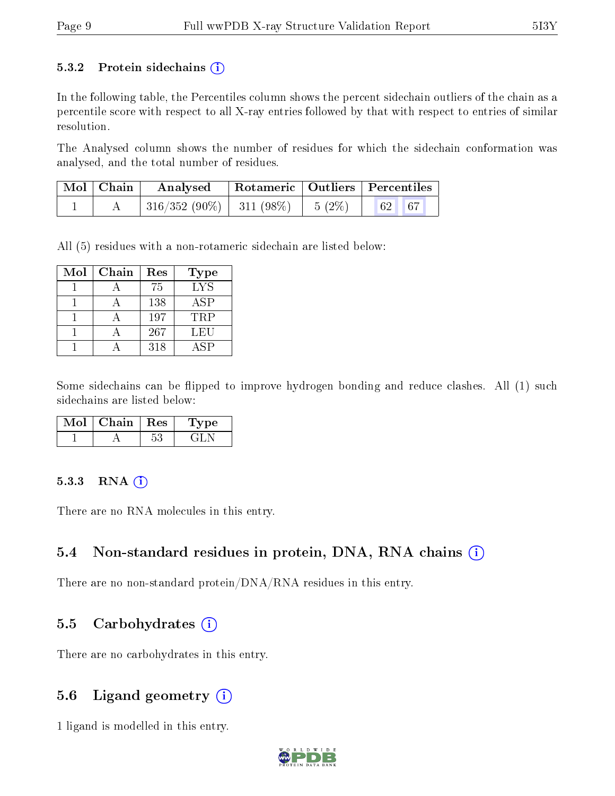#### 5.3.2 Protein sidechains  $(i)$

In the following table, the Percentiles column shows the percent sidechain outliers of the chain as a percentile score with respect to all X-ray entries followed by that with respect to entries of similar resolution.

The Analysed column shows the number of residues for which the sidechain conformation was analysed, and the total number of residues.

| $\mid$ Mol $\mid$ Chain $\mid$ | Analysed                                                          | Rotameric   Outliers   Percentiles |  |  |
|--------------------------------|-------------------------------------------------------------------|------------------------------------|--|--|
|                                | $316/352(90\%)$ 311 (98\%) $\begin{array}{ l} 5(2\%) \end{array}$ |                                    |  |  |

All (5) residues with a non-rotameric sidechain are listed below:

| Mol | Chain | Res | <b>Type</b> |
|-----|-------|-----|-------------|
|     |       | 75  | <b>LYS</b>  |
|     |       | 138 | <b>ASP</b>  |
|     |       | 197 | <b>TRP</b>  |
|     |       | 267 | LEU         |
|     |       | 318 | A SP        |

Some sidechains can be flipped to improve hydrogen bonding and reduce clashes. All (1) such sidechains are listed below:

| Chain | Res | vpe |  |
|-------|-----|-----|--|
|       |     |     |  |

#### $5.3.3$  RNA  $(i)$

There are no RNA molecules in this entry.

### 5.4 Non-standard residues in protein, DNA, RNA chains (i)

There are no non-standard protein/DNA/RNA residues in this entry.

#### 5.5 Carbohydrates  $(i)$

There are no carbohydrates in this entry.

### 5.6 Ligand geometry  $(i)$

1 ligand is modelled in this entry.

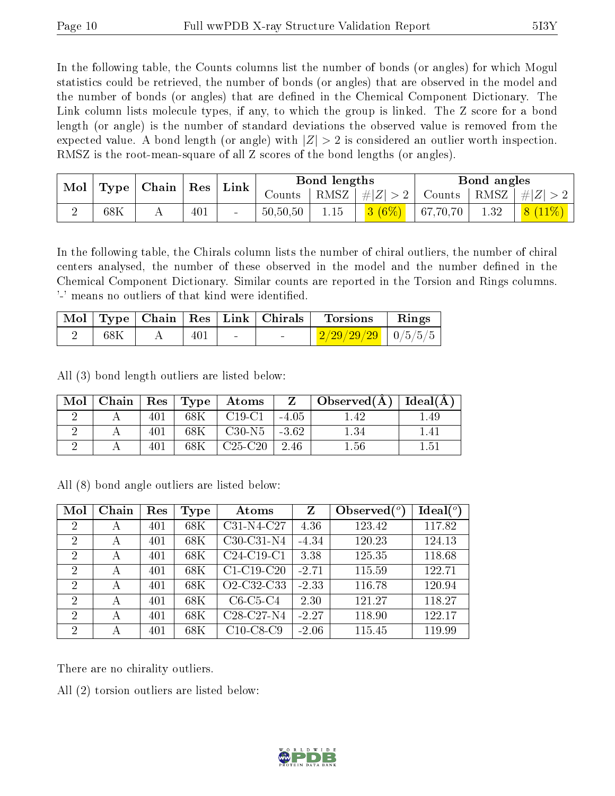In the following table, the Counts columns list the number of bonds (or angles) for which Mogul statistics could be retrieved, the number of bonds (or angles) that are observed in the model and the number of bonds (or angles) that are dened in the Chemical Component Dictionary. The Link column lists molecule types, if any, to which the group is linked. The Z score for a bond length (or angle) is the number of standard deviations the observed value is removed from the expected value. A bond length (or angle) with  $|Z| > 2$  is considered an outlier worth inspection. RMSZ is the root-mean-square of all Z scores of the bond lengths (or angles).

| Mol |                                          |            | ${\rm Res}$ | Link |                      | Bond lengths |         |          | Bond angles |  |
|-----|------------------------------------------|------------|-------------|------|----------------------|--------------|---------|----------|-------------|--|
|     | $\mid$ Chain $\mid$<br>Type <sub>1</sub> |            | Counts      | RMSZ | $T^{-1}$ $\# Z  > 2$ | Counts       | RMSZ    | $\ H\ $  |             |  |
|     | 68K                                      | <b>A</b> A | 401         |      | 50,50,50             | 1.15         | $(6\%)$ | 67,70,70 | 1.32        |  |

In the following table, the Chirals column lists the number of chiral outliers, the number of chiral centers analysed, the number of these observed in the model and the number defined in the Chemical Component Dictionary. Similar counts are reported in the Torsion and Rings columns. '-' means no outliers of that kind were identified.

|     |     |  | $\vert$ Mol $\vert$ Type $\vert$ Chain $\vert$ Res $\vert$ Link $\vert$ Chirals $\vert$ Torsions | $\parallel$ Rings |
|-----|-----|--|--------------------------------------------------------------------------------------------------|-------------------|
| 68K | 401 |  | $\frac{2}{29/29/29}$   0/5/5/5                                                                   |                   |

All (3) bond length outliers are listed below:

| Mol |  | Chain   $\text{Res}$   $\text{Type}$ | Atoms     | $Z_{-}$ | $\pm$ Observed(A) | $ $ Ideal( $A$ ) |
|-----|--|--------------------------------------|-----------|---------|-------------------|------------------|
|     |  | 68K                                  | $C19-C1$  | $-4.05$ | .42               | .49              |
|     |  | 68K                                  | $C30-N5$  | $-3.62$ | $1.34\,$          | $+41$            |
|     |  |                                      | $C25-C20$ | 2.46    | $1.56\,$          | 1.51             |

All (8) bond angle outliers are listed below:

| Mol            | Chain | Res | Type | Atoms                                            | Z       | Observed $(°)$ | $Ideal(^o)$ |
|----------------|-------|-----|------|--------------------------------------------------|---------|----------------|-------------|
| $\overline{2}$ | А     | 401 | 68K  | C31-N4-C27                                       | 4.36    | 123.42         | 117.82      |
| 2              | А     | 401 | 68K  | $C30-C31-N4$                                     | $-4.34$ | 120.23         | 124.13      |
| $\overline{2}$ | А     | 401 | 68K  | $C24-C19-C1$                                     | 3.38    | 125.35         | 118.68      |
| $\overline{2}$ | А     | 401 | 68K  | $C1-C19-C20$                                     | $-2.71$ | 115.59         | 122.71      |
| $\overline{2}$ | А     | 401 | 68K  | O2-C32-C33                                       | $-2.33$ | 116.78         | 120.94      |
| $\overline{2}$ | А     | 401 | 68K  | $C6-C5-C4$                                       | 2.30    | 121.27         | 118.27      |
| $\overline{2}$ | А     | 401 | 68K  | C <sub>28</sub> -C <sub>27</sub> -N <sub>4</sub> | $-2.27$ | 118.90         | 122.17      |
| $\overline{2}$ | А     | 401 | 68K  | $C10-C8-C9$                                      | $-2.06$ | 115.45         | 119.99      |

There are no chirality outliers.

All (2) torsion outliers are listed below:

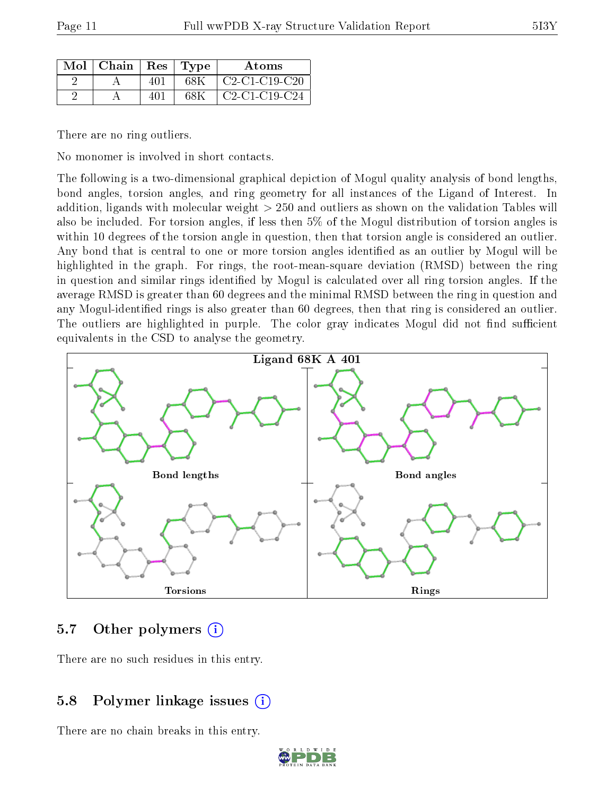|--|

| $Mol$   Chain   Res   Type |     |      | Atoms                                                                   |
|----------------------------|-----|------|-------------------------------------------------------------------------|
|                            | 401 | 68K  | $\mid$ C <sub>2</sub> -C <sub>1</sub> -C <sub>19</sub> -C <sub>20</sub> |
|                            | 401 | 68 K | $C2-C1-C19-C24$                                                         |

There are no ring outliers.

No monomer is involved in short contacts.

The following is a two-dimensional graphical depiction of Mogul quality analysis of bond lengths, bond angles, torsion angles, and ring geometry for all instances of the Ligand of Interest. In addition, ligands with molecular weight > 250 and outliers as shown on the validation Tables will also be included. For torsion angles, if less then 5% of the Mogul distribution of torsion angles is within 10 degrees of the torsion angle in question, then that torsion angle is considered an outlier. Any bond that is central to one or more torsion angles identified as an outlier by Mogul will be highlighted in the graph. For rings, the root-mean-square deviation (RMSD) between the ring in question and similar rings identified by Mogul is calculated over all ring torsion angles. If the average RMSD is greater than 60 degrees and the minimal RMSD between the ring in question and any Mogul-identified rings is also greater than 60 degrees, then that ring is considered an outlier. The outliers are highlighted in purple. The color gray indicates Mogul did not find sufficient equivalents in the CSD to analyse the geometry.



### 5.7 [O](https://www.wwpdb.org/validation/2017/XrayValidationReportHelp#nonstandard_residues_and_ligands)ther polymers (i)

There are no such residues in this entry.

### 5.8 Polymer linkage issues (i)

There are no chain breaks in this entry.

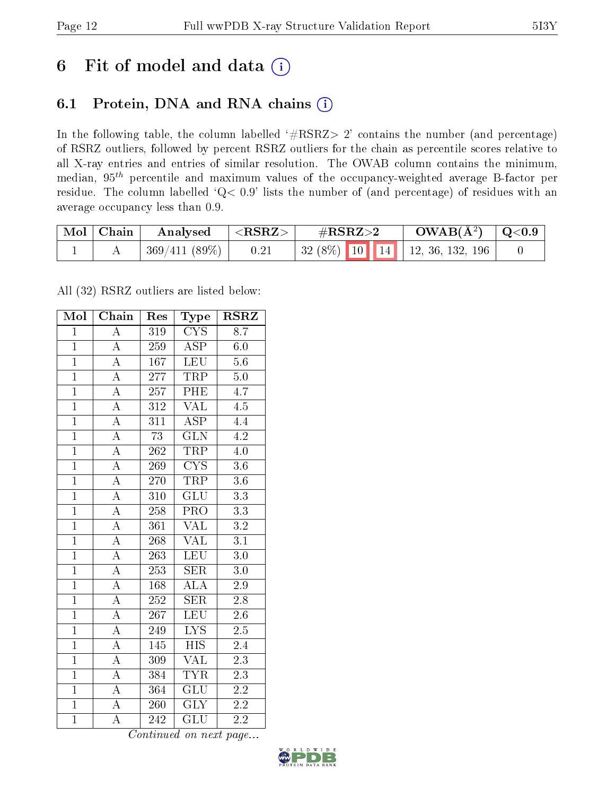# 6 Fit of model and data  $(i)$

### 6.1 Protein, DNA and RNA chains  $(i)$

In the following table, the column labelled  $#RSRZ> 2'$  contains the number (and percentage) of RSRZ outliers, followed by percent RSRZ outliers for the chain as percentile scores relative to all X-ray entries and entries of similar resolution. The OWAB column contains the minimum, median,  $95<sup>th</sup>$  percentile and maximum values of the occupancy-weighted average B-factor per residue. The column labelled ' $Q< 0.9$ ' lists the number of (and percentage) of residues with an average occupancy less than 0.9.

| $\text{Mol}$ | Chain | Analysed        | ${ <\hspace{-1.5pt}{\mathrm{RSRZ}} \hspace{-1.5pt}>}$ | $\#\text{RSRZ}\text{>2}$         | $OWAB(A^2)$ | $\mid$ Q<0.9 |
|--------------|-------|-----------------|-------------------------------------------------------|----------------------------------|-------------|--------------|
|              |       | $369/411(89\%)$ | 0.21                                                  | $32(8\%)$ 10 14 12, 36, 132, 196 |             |              |

All (32) RSRZ outliers are listed below:

| Mol            | $\overline{\text{Chain}}$ | Res              | Type                      | <b>RSRZ</b>      |
|----------------|---------------------------|------------------|---------------------------|------------------|
| $\mathbf{1}$   | $\overline{A}$            | 319              | <b>CYS</b>                | $8.\overline{7}$ |
| $\overline{1}$ | $\overline{\rm A}$        | 259              | $\overline{\text{ASP}}$   | $6.0\,$          |
| $\overline{1}$ | $\overline{A}$            | 167              | <b>LEU</b>                | $5.6\,$          |
| $\overline{1}$ | $\overline{\rm A}$        | 277              | TRP                       | $5.0\,$          |
| $\overline{1}$ | $\overline{\rm A}$        | $\overline{257}$ | PHE                       | $\overline{4.7}$ |
| $\overline{1}$ | $\overline{\rm A}$        | $\overline{312}$ | $\overline{\text{VAL}}$   | 4.5              |
| $\overline{1}$ | $\overline{A}$            | 311              | <b>ASP</b>                | 4.4              |
| $\overline{1}$ | $\overline{A}$            | 73               | GLN                       | 4.2              |
| $\mathbf{1}$   | $\overline{\rm A}$        | 262              | <b>TRP</b>                | 4.0              |
| $\overline{1}$ | $\overline{A}$            | 269              | $\overline{\text{CYS}}$   | $\overline{3.6}$ |
| $\overline{1}$ | $\overline{\rm A}$        | 270              | <b>TRP</b>                | 3.6              |
| $\overline{1}$ | $\overline{\rm A}$        | $\overline{310}$ | $\overline{\mathrm{GLU}}$ | $\overline{3.3}$ |
| $\overline{1}$ | $\overline{\rm A}$        | 258              | $\overline{\text{PRO}}$   | $\overline{3.3}$ |
| $\overline{1}$ | $\overline{\rm A}$        | $\overline{361}$ | <b>VAL</b>                | $\overline{3.2}$ |
| $\overline{1}$ | $\overline{A}$            | 268              | $\overline{\text{VAL}}$   | $\overline{3.1}$ |
| $\overline{1}$ | $\overline{A}$            | 263              | LEU                       | 3.0              |
| $\overline{1}$ | $\overline{A}$            | $\overline{253}$ | $\overline{\text{SER}}$   | $3.0\,$          |
| $\overline{1}$ | $\overline{\rm A}$        | 168              | $\overline{\rm ALA}$      | $\overline{2.9}$ |
| $\overline{1}$ | $\overline{A}$            | 252              | <b>SER</b>                | 2.8              |
| $\overline{1}$ | $\overline{A}$            | 267              | $\overline{\text{LEU}}$   | $\overline{2.6}$ |
| $\overline{1}$ | $\overline{\rm A}$        | 249              | $\overline{\text{LYS}}$   | $2.5\,$          |
| $\mathbf{1}$   | $\overline{A}$            | 145              | <b>HIS</b>                | 2.4              |
| $\overline{1}$ | $\boldsymbol{A}$          | 309              | VAL                       | 2.3              |
| $\overline{1}$ | $\overline{\rm A}$        | 384              | <b>TYR</b>                | $2\overline{.3}$ |
| $\overline{1}$ | $\overline{A}$            | 364              | $\overline{\text{GLU}}$   | 2.2              |
| $\overline{1}$ | A                         | 260              | $\overline{\text{GLY}}$   | 2.2              |
| $\overline{1}$ | $\overline{\rm A}$        | 242              | $\overline{{\rm GLU}}$    | $\overline{2.2}$ |

Continued on next page...

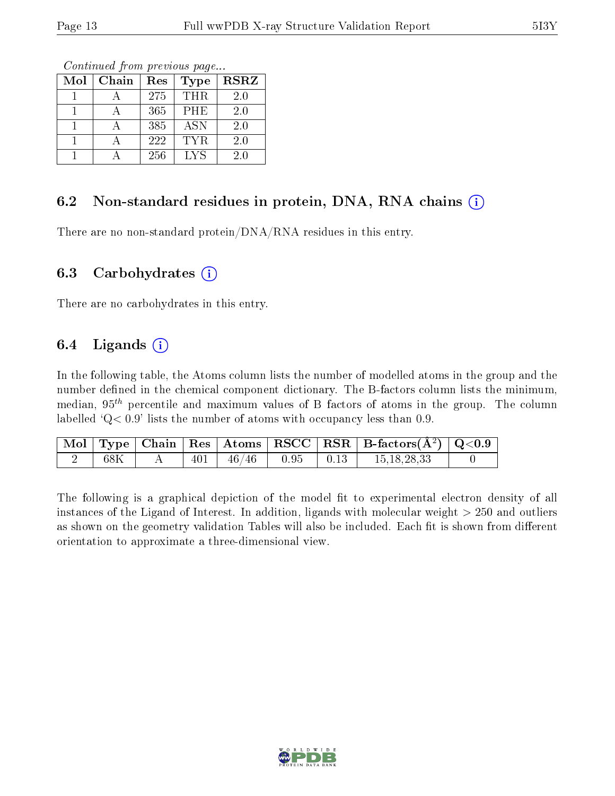Continued from previous page...

| Mol | Chain | Res | <b>Type</b> | <b>RSRZ</b> |
|-----|-------|-----|-------------|-------------|
|     |       | 275 | THR.        | 2.0         |
|     |       | 365 | PHE         | 2.0         |
|     |       | 385 | <b>ASN</b>  | 2.0         |
|     |       | 222 | <b>TYR</b>  | 2.0         |
|     |       | 256 | <b>LYS</b>  | 2.0         |

#### 6.2 Non-standard residues in protein, DNA, RNA chains  $(i)$

There are no non-standard protein/DNA/RNA residues in this entry.

#### 6.3 Carbohydrates (i)

There are no carbohydrates in this entry.

### 6.4 Ligands  $(i)$

In the following table, the Atoms column lists the number of modelled atoms in the group and the number defined in the chemical component dictionary. The B-factors column lists the minimum, median,  $95<sup>th</sup>$  percentile and maximum values of B factors of atoms in the group. The column labelled  $Q< 0.9$ ' lists the number of atoms with occupancy less than 0.9.

|     |  |                                   |  | $\mid$ Mol $\mid$ Type $\mid$ Chain $\mid$ Res $\mid$ Atoms $\mid$ RSCC $\mid$ RSR $\mid$ B-factors(A <sup>2</sup> ) $\mid$ Q<0.9 |  |
|-----|--|-----------------------------------|--|-----------------------------------------------------------------------------------------------------------------------------------|--|
| 68K |  | $401$   $46/46$   $0.95$   $0.13$ |  | 15, 18, 28, 33                                                                                                                    |  |

The following is a graphical depiction of the model fit to experimental electron density of all instances of the Ligand of Interest. In addition, ligands with molecular weight > 250 and outliers as shown on the geometry validation Tables will also be included. Each fit is shown from different orientation to approximate a three-dimensional view.